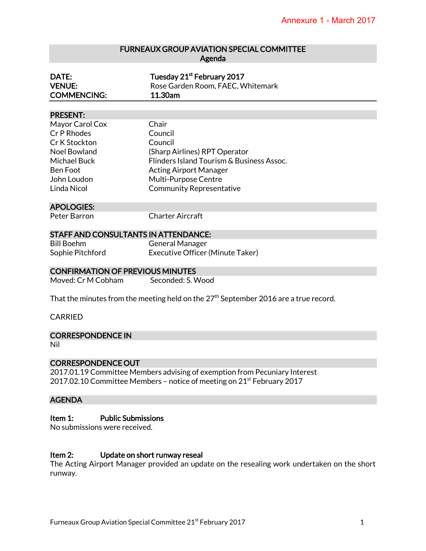# FURNEAUX GROUP AVIATION SPECIAL COMMITTEE Agenda

| DATE:              | Tuesday 21 <sup>st</sup> February 2017 |
|--------------------|----------------------------------------|
| <b>VENUE:</b>      | Rose Garden Room, FAEC, Whitemark      |
| <b>COMMENCING:</b> | 11.30am                                |

#### PRESENT:

| Mayor Carol Cox     | Chair                                     |
|---------------------|-------------------------------------------|
| Cr P Rhodes         | Council                                   |
| Cr K Stockton       | Council                                   |
| Noel Bowland        | (Sharp Airlines) RPT Operator             |
| <b>Michael Buck</b> | Flinders Island Tourism & Business Assoc. |
| Ben Foot            | <b>Acting Airport Manager</b>             |
| John Loudon         | Multi-Purpose Centre                      |
| Linda Nicol         | <b>Community Representative</b>           |
|                     |                                           |

#### APOLOGIES:

Peter Barron Charter Aircraft

#### STAFF AND CONSULTANTS IN ATTENDANCE:

Bill Boehm General Manager Sophie Pitchford Executive Officer (Minute Taker)

#### CONFIRMATION OF PREVIOUS MINUTES

| Moved: Cr M Cobham | Seconded: S. Wood |
|--------------------|-------------------|
|                    |                   |

That the minutes from the meeting held on the  $27<sup>th</sup>$  September 2016 are a true record.

#### CARRIED

CORRESPONDENCE IN

Nil

## CORRESPONDENCE OUT

2017.01.19 Committee Members advising of exemption from Pecuniary Interest 2017.02.10 Committee Members – notice of meeting on  $21<sup>st</sup>$  February 2017

## AGENDA

# Item 1: Public Submissions

No submissions were received.

#### Item 2: Update on short runway reseal

The Acting Airport Manager provided an update on the resealing work undertaken on the short runway.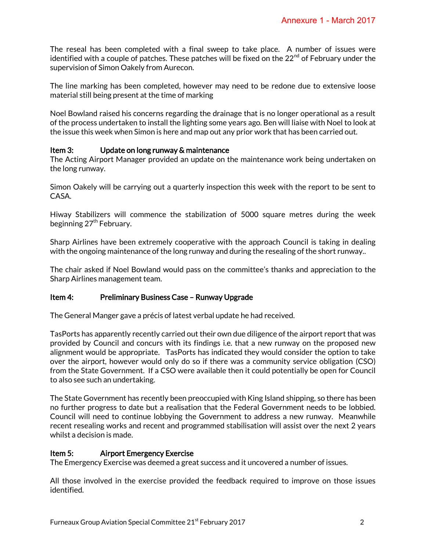The reseal has been completed with a final sweep to take place. A number of issues were identified with a couple of patches. These patches will be fixed on the  $22<sup>nd</sup>$  of February under the supervision of Simon Oakely from Aurecon.

The line marking has been completed, however may need to be redone due to extensive loose material still being present at the time of marking

Noel Bowland raised his concerns regarding the drainage that is no longer operational as a result of the process undertaken to install the lighting some years ago. Ben will liaise with Noel to look at the issue this week when Simon is here and map out any prior work that has been carried out.

# Item 3: Update on long runway & maintenance

The Acting Airport Manager provided an update on the maintenance work being undertaken on the long runway.

Simon Oakely will be carrying out a quarterly inspection this week with the report to be sent to CASA.

Hiway Stabilizers will commence the stabilization of 5000 square metres during the week beginning 27<sup>th</sup> February.

Sharp Airlines have been extremely cooperative with the approach Council is taking in dealing with the ongoing maintenance of the long runway and during the resealing of the short runway..

The chair asked if Noel Bowland would pass on the committee's thanks and appreciation to the Sharp Airlines management team.

## Item 4: Preliminary Business Case – Runway Upgrade

The General Manger gave a précis of latest verbal update he had received.

TasPorts has apparently recently carried out their own due diligence of the airport report that was provided by Council and concurs with its findings i.e. that a new runway on the proposed new alignment would be appropriate. TasPorts has indicated they would consider the option to take over the airport, however would only do so if there was a community service obligation (CSO) from the State Government. If a CSO were available then it could potentially be open for Council to also see such an undertaking.

The State Government has recently been preoccupied with King Island shipping, so there has been no further progress to date but a realisation that the Federal Government needs to be lobbied. Council will need to continue lobbying the Government to address a new runway. Meanwhile recent resealing works and recent and programmed stabilisation will assist over the next 2 years whilst a decision is made.

## Item 5: Airport Emergency Exercise

The Emergency Exercise was deemed a great success and it uncovered a number of issues.

All those involved in the exercise provided the feedback required to improve on those issues identified.